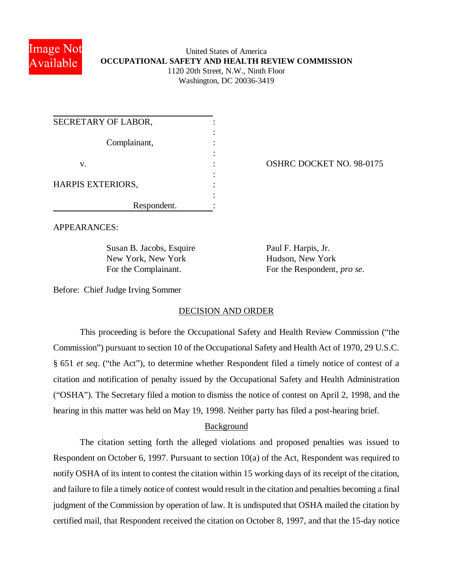

### United States of America **OCCUPATIONAL SAFETY AND HEALTH REVIEW COMMISSION** 1120 20th Street, N.W., Ninth Floor Washington, DC 20036-3419

| SECRETARY OF LABOR, |              |  |
|---------------------|--------------|--|
|                     | Complainant, |  |
|                     |              |  |
| V.                  |              |  |
|                     |              |  |
| HARPIS EXTERIORS,   |              |  |
|                     |              |  |
|                     | Respondent.  |  |

OSHRC DOCKET NO. 98-0175

APPEARANCES:

Susan B. Jacobs, Esquire Paul F. Harpis, Jr. New York, New York Hudson, New York

For the Complainant. For the Respondent, *pro se*.

Before: Chief Judge Irving Sommer

# DECISION AND ORDER

This proceeding is before the Occupational Safety and Health Review Commission ("the Commission") pursuant to section 10 of the Occupational Safety and Health Act of 1970, 29 U.S.C. § 651 *et seq*. ("the Act"), to determine whether Respondent filed a timely notice of contest of a citation and notification of penalty issued by the Occupational Safety and Health Administration ("OSHA"). The Secretary filed a motion to dismiss the notice of contest on April 2, 1998, and the hearing in this matter was held on May 19, 1998. Neither party has filed a post-hearing brief.

# Background

The citation setting forth the alleged violations and proposed penalties was issued to Respondent on October 6, 1997. Pursuant to section 10(a) of the Act, Respondent was required to notify OSHA of its intent to contest the citation within 15 working days of its receipt of the citation, and failure to file a timely notice of contest would result in the citation and penalties becoming a final judgment of the Commission by operation of law. It is undisputed that OSHA mailed the citation by certified mail, that Respondent received the citation on October 8, 1997, and that the 15-day notice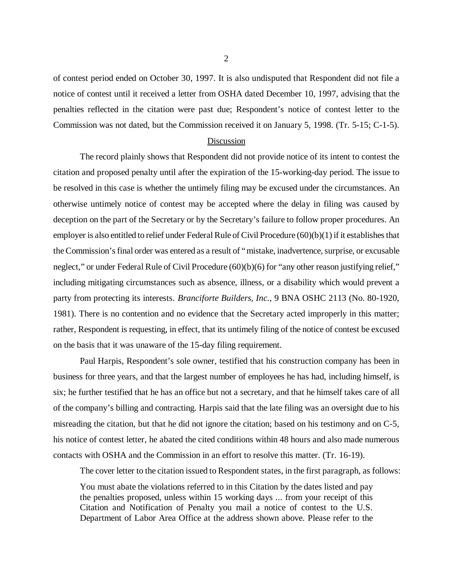of contest period ended on October 30, 1997. It is also undisputed that Respondent did not file a notice of contest until it received a letter from OSHA dated December 10, 1997, advising that the penalties reflected in the citation were past due; Respondent's notice of contest letter to the Commission was not dated, but the Commission received it on January 5, 1998. (Tr. 5-15; C-1-5).

#### Discussion

The record plainly shows that Respondent did not provide notice of its intent to contest the citation and proposed penalty until after the expiration of the 15-working-day period. The issue to be resolved in this case is whether the untimely filing may be excused under the circumstances. An otherwise untimely notice of contest may be accepted where the delay in filing was caused by deception on the part of the Secretary or by the Secretary's failure to follow proper procedures. An employer is also entitled to relief under Federal Rule of Civil Procedure (60)(b)(1) if it establishes that the Commission's final order was entered as a result of "mistake, inadvertence, surprise, or excusable neglect," or under Federal Rule of Civil Procedure (60)(b)(6) for "any other reason justifying relief," including mitigating circumstances such as absence, illness, or a disability which would prevent a party from protecting its interests. *Branciforte Builders, Inc.*, 9 BNA OSHC 2113 (No. 80-1920, 1981). There is no contention and no evidence that the Secretary acted improperly in this matter; rather, Respondent is requesting, in effect, that its untimely filing of the notice of contest be excused on the basis that it was unaware of the 15-day filing requirement.

Paul Harpis, Respondent's sole owner, testified that his construction company has been in business for three years, and that the largest number of employees he has had, including himself, is six; he further testified that he has an office but not a secretary, and that he himself takes care of all of the company's billing and contracting. Harpis said that the late filing was an oversight due to his misreading the citation, but that he did not ignore the citation; based on his testimony and on C-5, his notice of contest letter, he abated the cited conditions within 48 hours and also made numerous contacts with OSHA and the Commission in an effort to resolve this matter. (Tr. 16-19).

The cover letter to the citation issued to Respondent states, in the first paragraph, as follows:

You must abate the violations referred to in this Citation by the dates listed and pay the penalties proposed, unless within 15 working days ... from your receipt of this Citation and Notification of Penalty you mail a notice of contest to the U.S. Department of Labor Area Office at the address shown above. Please refer to the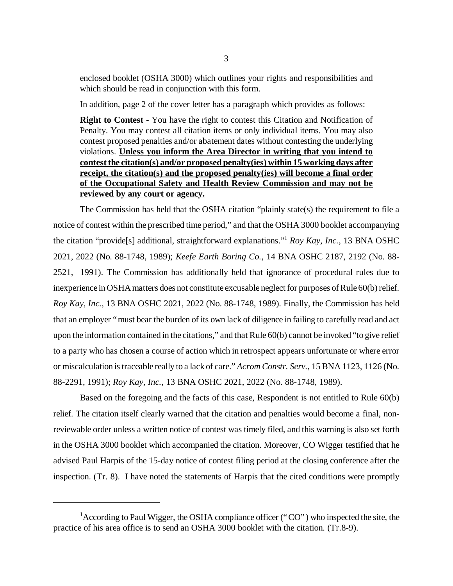enclosed booklet (OSHA 3000) which outlines your rights and responsibilities and which should be read in conjunction with this form.

In addition, page 2 of the cover letter has a paragraph which provides as follows:

**Right to Contest** - You have the right to contest this Citation and Notification of Penalty. You may contest all citation items or only individual items. You may also contest proposed penalties and/or abatement dates without contesting the underlying violations. **Unless you inform the Area Director in writing that you intend to contest the citation(s) and/or proposed penalty(ies) within 15 working days after receipt, the citation(s) and the proposed penalty(ies) will become a final order of the Occupational Safety and Health Review Commission and may not be reviewed by any court or agency.**

The Commission has held that the OSHA citation "plainly state(s) the requirement to file a notice of contest within the prescribed time period," and that the OSHA 3000 booklet accompanying the citation "provide[s] additional, straightforward explanations." <sup>1</sup> *Roy Kay, Inc.*, 13 BNA OSHC 2021, 2022 (No. 88-1748, 1989); *Keefe Earth Boring Co.*, 14 BNA OSHC 2187, 2192 (No. 88- 2521, 1991). The Commission has additionally held that ignorance of procedural rules due to inexperience in OSHA matters does not constitute excusable neglect for purposes of Rule 60(b) relief. *Roy Kay, Inc.*, 13 BNA OSHC 2021, 2022 (No. 88-1748, 1989). Finally, the Commission has held that an employer "must bear the burden of its own lack of diligence in failing to carefully read and act upon the information contained in the citations," and that Rule 60(b) cannot be invoked "to give relief to a party who has chosen a course of action which in retrospect appears unfortunate or where error or miscalculation is traceable really to a lack of care." *Acrom Constr. Serv.*, 15 BNA 1123, 1126 (No. 88-2291, 1991); *Roy Kay, Inc.*, 13 BNA OSHC 2021, 2022 (No. 88-1748, 1989).

Based on the foregoing and the facts of this case, Respondent is not entitled to Rule 60(b) relief. The citation itself clearly warned that the citation and penalties would become a final, nonreviewable order unless a written notice of contest was timely filed, and this warning is also set forth in the OSHA 3000 booklet which accompanied the citation. Moreover, CO Wigger testified that he advised Paul Harpis of the 15-day notice of contest filing period at the closing conference after the inspection. (Tr. 8). I have noted the statements of Harpis that the cited conditions were promptly

<sup>&</sup>lt;sup>1</sup> According to Paul Wigger, the OSHA compliance officer ("CO") who inspected the site, the practice of his area office is to send an OSHA 3000 booklet with the citation. (Tr.8-9).